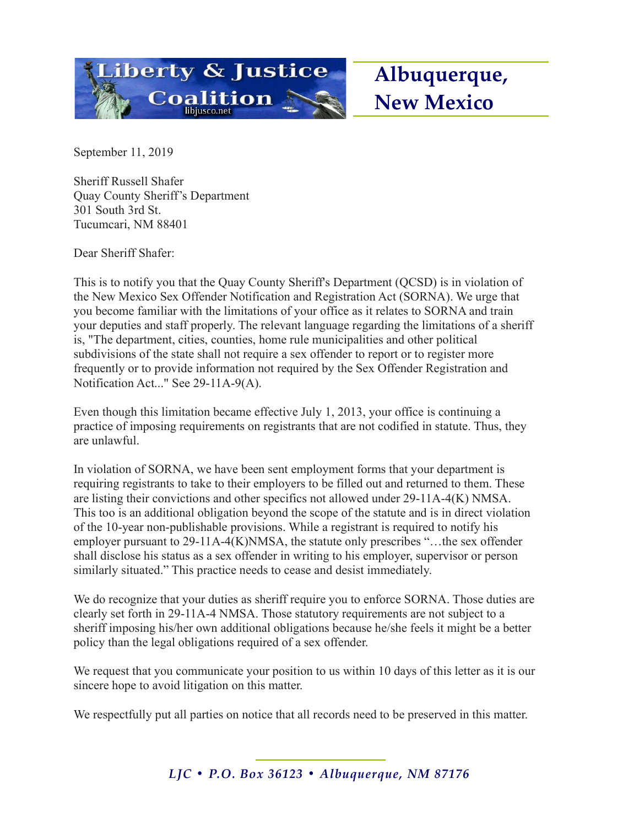

September 11, 2019

Sheriff Russell Shafer Quay County Sheriff's Department 301 South 3rd St. Tucumcari, NM 88401

Dear Sheriff Shafer:

This is to notify you that the Quay County Sheriff's Department (QCSD) is in violation of the New Mexico Sex Offender Notification and Registration Act (SORNA). We urge that you become familiar with the limitations of your office as it relates to SORNA and train your deputies and staff properly. The relevant language regarding the limitations of a sheriff is, "The department, cities, counties, home rule municipalities and other political subdivisions of the state shall not require a sex offender to report or to register more frequently or to provide information not required by the Sex Offender Registration and Notification Act..." See 29-11A-9(A).

Even though this limitation became effective July 1, 2013, your office is continuing a practice of imposing requirements on registrants that are not codified in statute. Thus, they are unlawful.

In violation of SORNA, we have been sent employment forms that your department is requiring registrants to take to their employers to be filled out and returned to them. These are listing their convictions and other specifics not allowed under 29-11A-4(K) NMSA. This too is an additional obligation beyond the scope of the statute and is in direct violation of the 10-year non-publishable provisions. While a registrant is required to notify his employer pursuant to 29-11A-4(K)NMSA, the statute only prescribes "…the sex offender shall disclose his status as a sex offender in writing to his employer, supervisor or person similarly situated." This practice needs to cease and desist immediately.

We do recognize that your duties as sheriff require you to enforce SORNA. Those duties are clearly set forth in 29-11A-4 NMSA. Those statutory requirements are not subject to a sheriff imposing his/her own additional obligations because he/she feels it might be a better policy than the legal obligations required of a sex offender.

We request that you communicate your position to us within 10 days of this letter as it is our sincere hope to avoid litigation on this matter.

We respectfully put all parties on notice that all records need to be preserved in this matter.